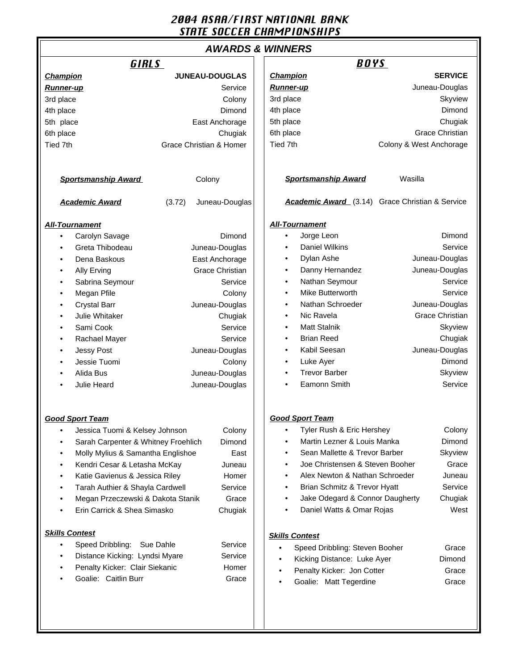### 2004 ASAA/FIRST NATIONAL BANK STATE SOCCER CHAMPIONSHIPS

# **AWARDS & WINNERS**

| GIRLS                                         |                          | <b>BOYS</b>                                          |  |
|-----------------------------------------------|--------------------------|------------------------------------------------------|--|
| <b>Champion</b>                               | <b>JUNEAU-DOUGLAS</b>    | <b>Champion</b><br><b>SERVICE</b>                    |  |
| <b>Runner-up</b>                              | Service                  | Juneau-Douglas<br><b>Runner-up</b>                   |  |
| 3rd place                                     | Colony                   | 3rd place<br>Skyview                                 |  |
| 4th place                                     | Dimond                   | Dimond<br>4th place                                  |  |
| 5th place                                     | East Anchorage           | Chugiak<br>5th place                                 |  |
| 6th place                                     | Chugiak                  | 6th place<br>Grace Christian                         |  |
| Tied 7th                                      | Grace Christian & Homer  | Tied 7th<br>Colony & West Anchorage                  |  |
|                                               |                          |                                                      |  |
| <b>Sportsmanship Award</b>                    | Colony                   | Wasilla<br><b>Sportsmanship Award</b>                |  |
| <b>Academic Award</b>                         | (3.72)<br>Juneau-Douglas | Academic Award (3.14) Grace Christian & Service      |  |
| <b>All-Tournament</b>                         |                          | <b>All-Tournament</b>                                |  |
| Carolyn Savage<br>$\bullet$                   | Dimond                   | Jorge Leon<br>Dimond<br>$\bullet$                    |  |
| Greta Thibodeau                               | Juneau-Douglas           | <b>Daniel Wilkins</b><br>Service<br>٠                |  |
| Dena Baskous<br>٠                             | East Anchorage           | Dylan Ashe<br>Juneau-Douglas<br>$\bullet$            |  |
| Ally Erving                                   | <b>Grace Christian</b>   | Danny Hernandez<br>Juneau-Douglas<br>٠               |  |
| Sabrina Seymour                               | Service                  | Nathan Seymour<br>Service<br>٠                       |  |
| Megan Pfile                                   | Colony                   | Mike Butterworth<br>Service<br>$\bullet$             |  |
| <b>Crystal Barr</b>                           | Juneau-Douglas           | Nathan Schroeder<br>Juneau-Douglas<br>$\bullet$      |  |
| Julie Whitaker                                | Chugiak                  | Nic Ravela<br>Grace Christian<br>$\bullet$           |  |
| Sami Cook                                     | Service                  | <b>Matt Stalnik</b><br>Skyview<br>٠                  |  |
| Rachael Mayer                                 | Service                  | <b>Brian Reed</b><br>Chugiak<br>$\bullet$            |  |
| <b>Jessy Post</b>                             | Juneau-Douglas           | Kabil Seesan<br>Juneau-Douglas<br>٠                  |  |
| Jessie Tuomi                                  | Colony                   | Luke Ayer<br>Dimond<br>$\bullet$                     |  |
| Alida Bus                                     | Juneau-Douglas           | <b>Trevor Barber</b><br>Skyview<br>٠                 |  |
| Julie Heard                                   | Juneau-Douglas           | Service<br>Eamonn Smith<br>٠                         |  |
|                                               |                          |                                                      |  |
| <b>Good Sport Team</b>                        |                          | <b>Good Sport Team</b>                               |  |
| Jessica Tuomi & Kelsey Johnson                | Colony                   | Colony<br>Tyler Rush & Eric Hershey                  |  |
| Sarah Carpenter & Whitney Froehlich<br>Dimond |                          | Martin Lezner & Louis Manka<br>Dimond<br>٠           |  |
| Molly Mylius & Samantha Englishoe<br>East     |                          | Sean Mallette & Trevor Barber<br>Skyview             |  |
| Kendri Cesar & Letasha McKay<br>Juneau        |                          | Joe Christensen & Steven Booher<br>Grace             |  |
| Katie Gavienus & Jessica Riley<br>Homer       |                          | Alex Newton & Nathan Schroeder<br>Juneau             |  |
| Tarah Authier & Shayla Cardwell<br>Service    |                          | Brian Schmitz & Trevor Hyatt<br>Service<br>٠         |  |
| Megan Przeczewski & Dakota Stanik<br>Grace    |                          | Jake Odegard & Connor Daugherty<br>Chugiak           |  |
| Erin Carrick & Shea Simasko                   | Chugiak                  | Daniel Watts & Omar Rojas<br>West                    |  |
| <b>Skills Contest</b>                         |                          | <b>Skills Contest</b>                                |  |
| Speed Dribbling: Sue Dahle                    | Service                  | Speed Dribbling: Steven Booher<br>Grace<br>$\bullet$ |  |
| Distance Kicking: Lyndsi Myare<br>Service     |                          | Kicking Distance: Luke Ayer<br>Dimond<br>$\bullet$   |  |
| Penalty Kicker: Clair Siekanic<br>Homer       |                          | Penalty Kicker: Jon Cotter<br>Grace                  |  |
| Goalie: Caitlin Burr                          | Grace                    | Goalie: Matt Tegerdine<br>Grace                      |  |
|                                               |                          |                                                      |  |
|                                               |                          |                                                      |  |